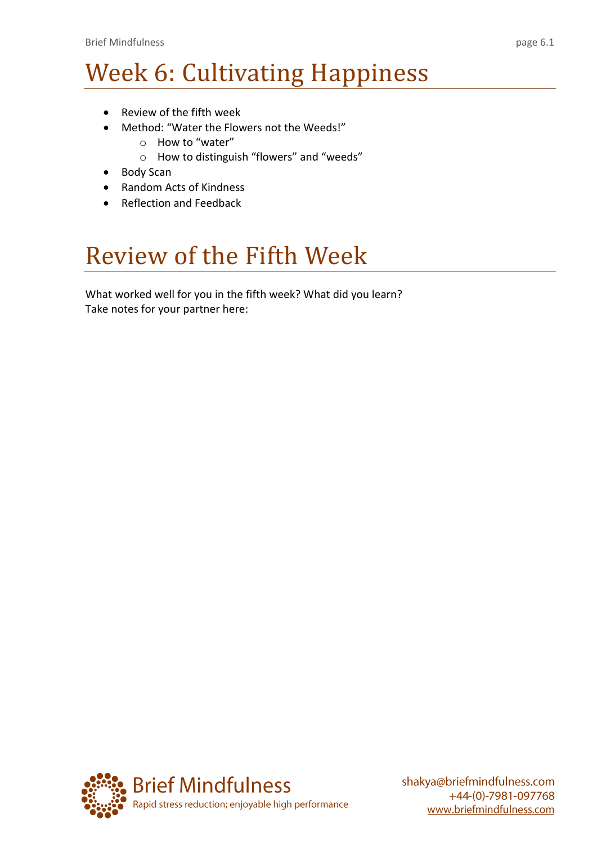# Week 6: Cultivating Happiness

- Review of the fifth week
- Method: "Water the Flowers not the Weeds!"
	- o How to "water"
	- o How to distinguish "flowers" and "weeds"
- Body Scan
- Random Acts of Kindness
- Reflection and Feedback

## Review of the Fifth Week

What worked well for you in the fifth week? What did you learn? Take notes for your partner here:

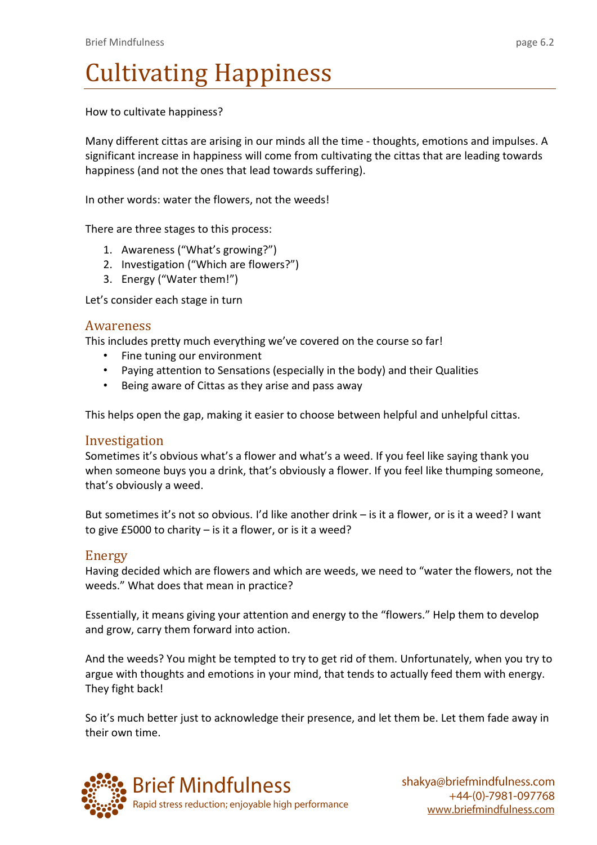## Cultivating Happiness

How to cultivate happiness?

Many different cittas are arising in our minds all the time - thoughts, emotions and impulses. A significant increase in happiness will come from cultivating the cittas that are leading towards happiness (and not the ones that lead towards suffering).

In other words: water the flowers, not the weeds!

There are three stages to this process:

- 1. Awareness ("What's growing?")
- 2. Investigation ("Which are flowers?")
- 3. Energy ("Water them!")

Let's consider each stage in turn

### Awareness

This includes pretty much everything we've covered on the course so far!

- Fine tuning our environment
- Paying attention to Sensations (especially in the body) and their Qualities
- Being aware of Cittas as they arise and pass away

This helps open the gap, making it easier to choose between helpful and unhelpful cittas.

#### Investigation

Sometimes it's obvious what's a flower and what's a weed. If you feel like saying thank you when someone buys you a drink, that's obviously a flower. If you feel like thumping someone, that's obviously a weed.

But sometimes it's not so obvious. I'd like another drink – is it a flower, or is it a weed? I want to give £5000 to charity – is it a flower, or is it a weed?

### Energy

Having decided which are flowers and which are weeds, we need to "water the flowers, not the weeds." What does that mean in practice?

Essentially, it means giving your attention and energy to the "flowers." Help them to develop and grow, carry them forward into action.

And the weeds? You might be tempted to try to get rid of them. Unfortunately, when you try to argue with thoughts and emotions in your mind, that tends to actually feed them with energy. They fight back!

So it's much better just to acknowledge their presence, and let them be. Let them fade away in their own time.

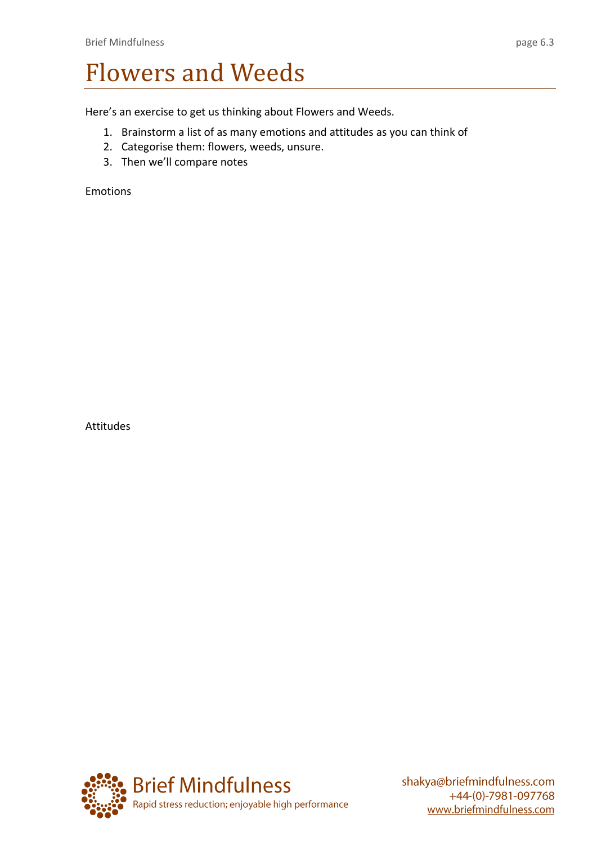## Flowers and Weeds

Here's an exercise to get us thinking about Flowers and Weeds.

- 1. Brainstorm a list of as many emotions and attitudes as you can think of
- 2. Categorise them: flowers, weeds, unsure.
- 3. Then we'll compare notes

Emotions

Attitudes

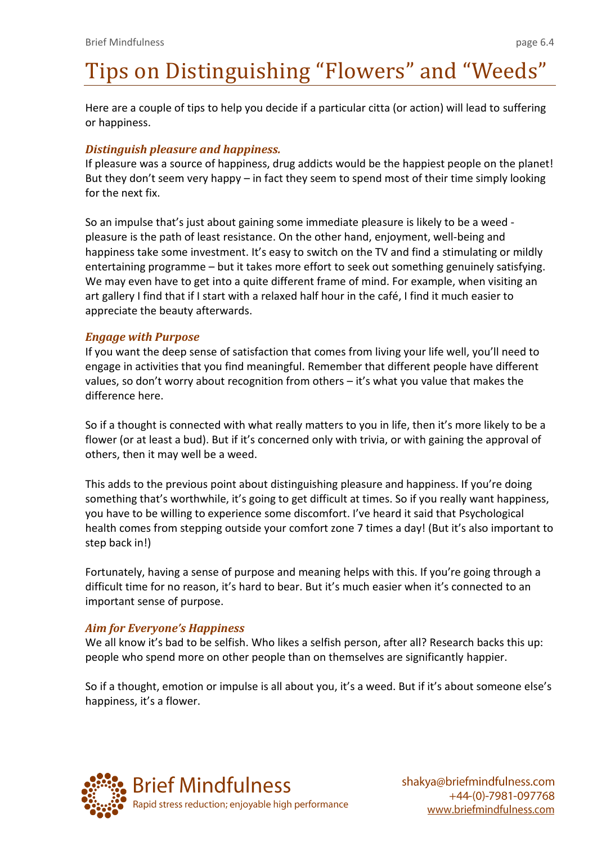## Tips on Distinguishing "Flowers" and "Weeds"

Here are a couple of tips to help you decide if a particular citta (or action) will lead to suffering or happiness.

### *Distinguish pleasure and happiness.*

If pleasure was a source of happiness, drug addicts would be the happiest people on the planet! But they don't seem very happy – in fact they seem to spend most of their time simply looking for the next fix.

So an impulse that's just about gaining some immediate pleasure is likely to be a weed pleasure is the path of least resistance. On the other hand, enjoyment, well-being and happiness take some investment. It's easy to switch on the TV and find a stimulating or mildly entertaining programme – but it takes more effort to seek out something genuinely satisfying. We may even have to get into a quite different frame of mind. For example, when visiting an art gallery I find that if I start with a relaxed half hour in the café, I find it much easier to appreciate the beauty afterwards.

### *Engage with Purpose*

If you want the deep sense of satisfaction that comes from living your life well, you'll need to engage in activities that you find meaningful. Remember that different people have different values, so don't worry about recognition from others – it's what you value that makes the difference here.

So if a thought is connected with what really matters to you in life, then it's more likely to be a flower (or at least a bud). But if it's concerned only with trivia, or with gaining the approval of others, then it may well be a weed.

This adds to the previous point about distinguishing pleasure and happiness. If you're doing something that's worthwhile, it's going to get difficult at times. So if you really want happiness, you have to be willing to experience some discomfort. I've heard it said that Psychological health comes from stepping outside your comfort zone 7 times a day! (But it's also important to step back in!)

Fortunately, having a sense of purpose and meaning helps with this. If you're going through a difficult time for no reason, it's hard to bear. But it's much easier when it's connected to an important sense of purpose.

### *Aim for Everyone's Happiness*

We all know it's bad to be selfish. Who likes a selfish person, after all? Research backs this up: people who spend more on other people than on themselves are significantly happier.

So if a thought, emotion or impulse is all about you, it's a weed. But if it's about someone else's happiness, it's a flower.

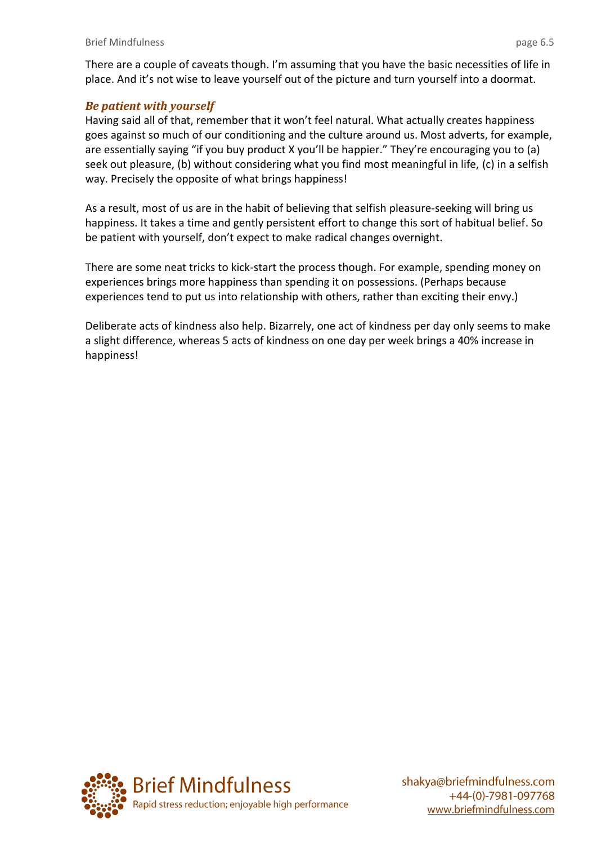There are a couple of caveats though. I'm assuming that you have the basic necessities of life in place. And it's not wise to leave yourself out of the picture and turn yourself into a doormat.

### *Be patient with yourself*

Having said all of that, remember that it won't feel natural. What actually creates happiness goes against so much of our conditioning and the culture around us. Most adverts, for example, are essentially saying "if you buy product X you'll be happier." They're encouraging you to (a) seek out pleasure, (b) without considering what you find most meaningful in life, (c) in a selfish way. Precisely the opposite of what brings happiness!

As a result, most of us are in the habit of believing that selfish pleasure-seeking will bring us happiness. It takes a time and gently persistent effort to change this sort of habitual belief. So be patient with yourself, don't expect to make radical changes overnight.

There are some neat tricks to kick-start the process though. For example, spending money on experiences brings more happiness than spending it on possessions. (Perhaps because experiences tend to put us into relationship with others, rather than exciting their envy.)

Deliberate acts of kindness also help. Bizarrely, one act of kindness per day only seems to make a slight difference, whereas 5 acts of kindness on one day per week brings a 40% increase in happiness!

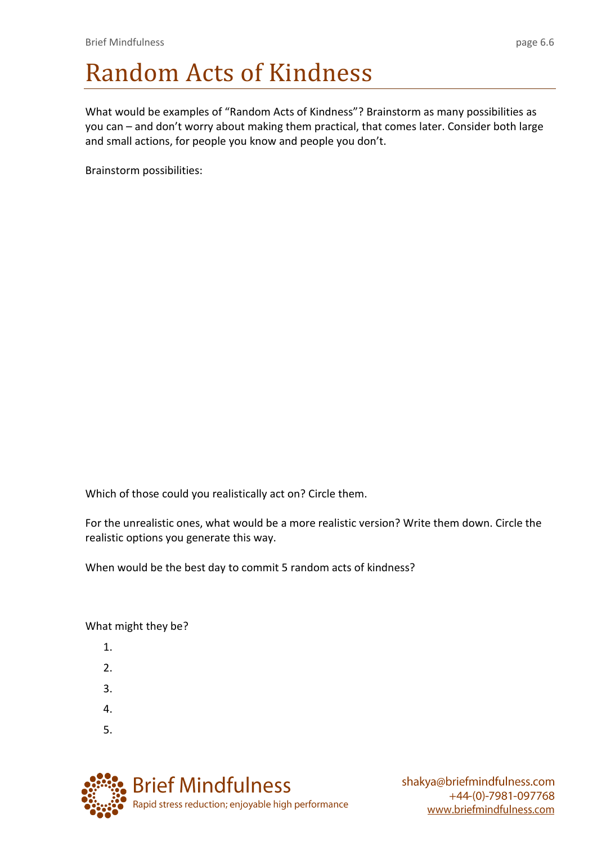## Random Acts of Kindness

What would be examples of "Random Acts of Kindness"? Brainstorm as many possibilities as you can – and don't worry about making them practical, that comes later. Consider both large and small actions, for people you know and people you don't.

Brainstorm possibilities:

Which of those could you realistically act on? Circle them.

For the unrealistic ones, what would be a more realistic version? Write them down. Circle the realistic options you generate this way.

When would be the best day to commit 5 random acts of kindness?

What might they be?

- 1.
- 2.
- 3.
- 4.
- 5.

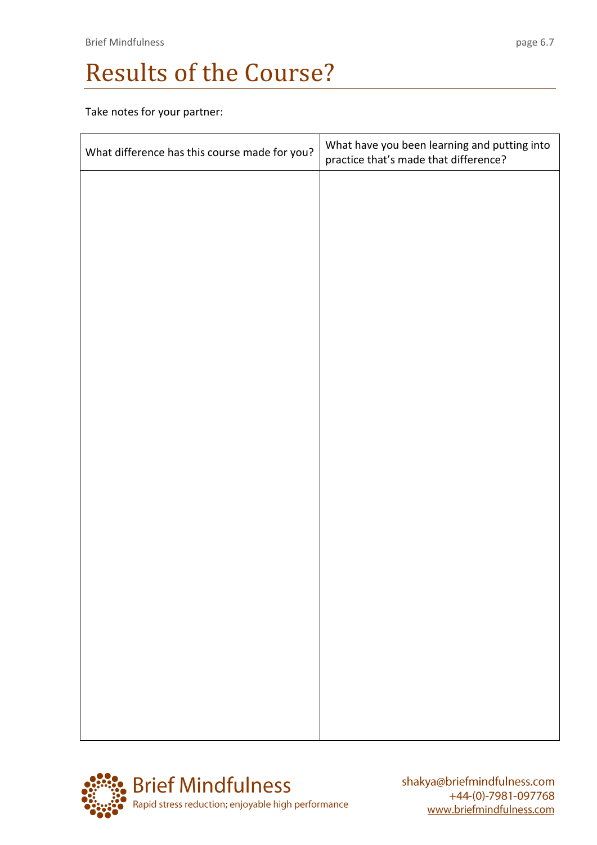## Results of the Course?

Take notes for your partner:

| What difference has this course made for you? | What have you been learning and putting into<br>practice that's made that difference? |
|-----------------------------------------------|---------------------------------------------------------------------------------------|
|                                               |                                                                                       |
|                                               |                                                                                       |
|                                               |                                                                                       |
|                                               |                                                                                       |
|                                               |                                                                                       |
|                                               |                                                                                       |
|                                               |                                                                                       |
|                                               |                                                                                       |
|                                               |                                                                                       |
|                                               |                                                                                       |
|                                               |                                                                                       |
|                                               |                                                                                       |
|                                               |                                                                                       |
|                                               |                                                                                       |
|                                               |                                                                                       |
|                                               |                                                                                       |

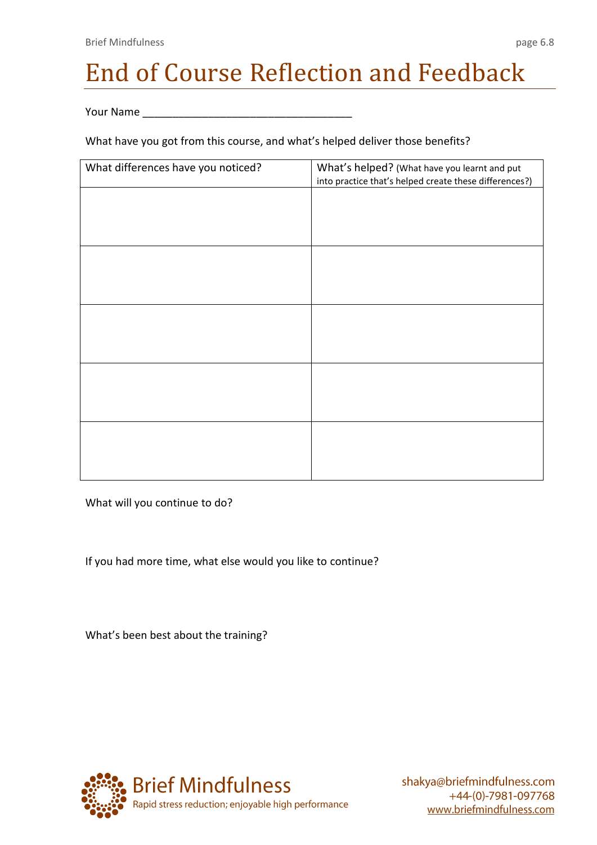# End of Course Reflection and Feedback

Your Name \_\_\_\_\_\_\_\_\_\_\_\_\_\_\_\_\_\_\_\_\_\_\_\_\_\_\_\_\_\_\_\_\_\_\_

What have you got from this course, and what's helped deliver those benefits?

| What differences have you noticed? | What's helped? (What have you learnt and put<br>into practice that's helped create these differences?) |
|------------------------------------|--------------------------------------------------------------------------------------------------------|
|                                    |                                                                                                        |
|                                    |                                                                                                        |
|                                    |                                                                                                        |
|                                    |                                                                                                        |
|                                    |                                                                                                        |
|                                    |                                                                                                        |
|                                    |                                                                                                        |
|                                    |                                                                                                        |
|                                    |                                                                                                        |
|                                    |                                                                                                        |

What will you continue to do?

If you had more time, what else would you like to continue?

What's been best about the training?